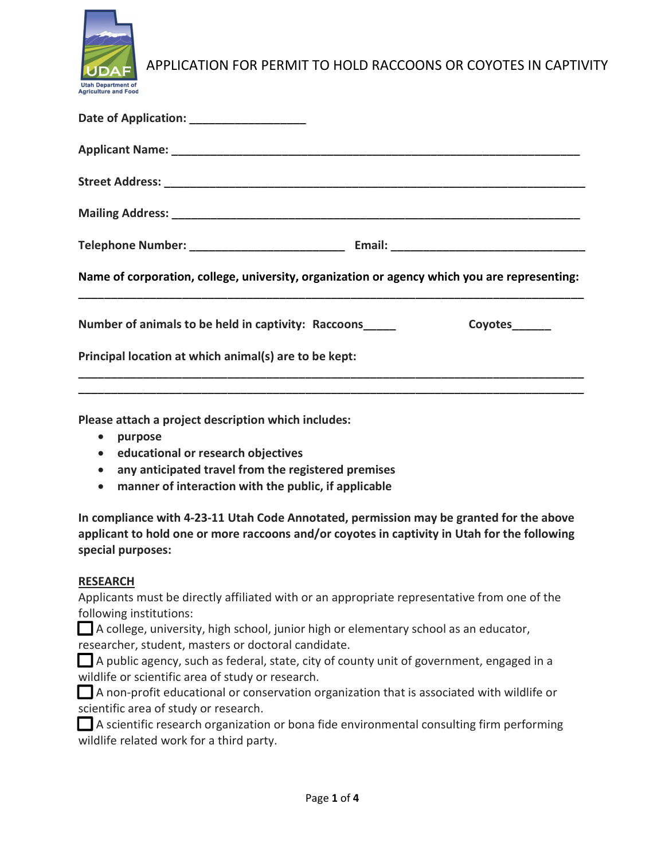

| Date of Application: __________________                                                      |
|----------------------------------------------------------------------------------------------|
|                                                                                              |
|                                                                                              |
|                                                                                              |
|                                                                                              |
| Name of corporation, college, university, organization or agency which you are representing: |
| Number of animals to be held in captivity: Raccoons<br>Coyotes_______                        |
| Principal location at which animal(s) are to be kept:                                        |
|                                                                                              |

Please attach a project description which includes:

- purpose
- **•** educational or research objectives
- any anticipated travel from the registered premises
- manner of interaction with the public, if applicable

In compliance with 4-23-11 Utah Code Annotated, permission may be granted for the above applicant to hold one or more raccoons and/or coyotes in captivity in Utah for the following special purposes:

#### **RESEARCH**

Applicants must be directly affiliated with or an appropriate representative from one of the following institutions:

 A college, university, high school, junior high or elementary school as an educator, researcher, student, masters or doctoral candidate.

 A public agency, such as federal, state, city of county unit of government, engaged in a wildlife or scientific area of study or research.

 A non-profit educational or conservation organization that is associated with wildlife or scientific area of study or research.

 A scientific research organization or bona fide environmental consulting firm performing wildlife related work for a third party.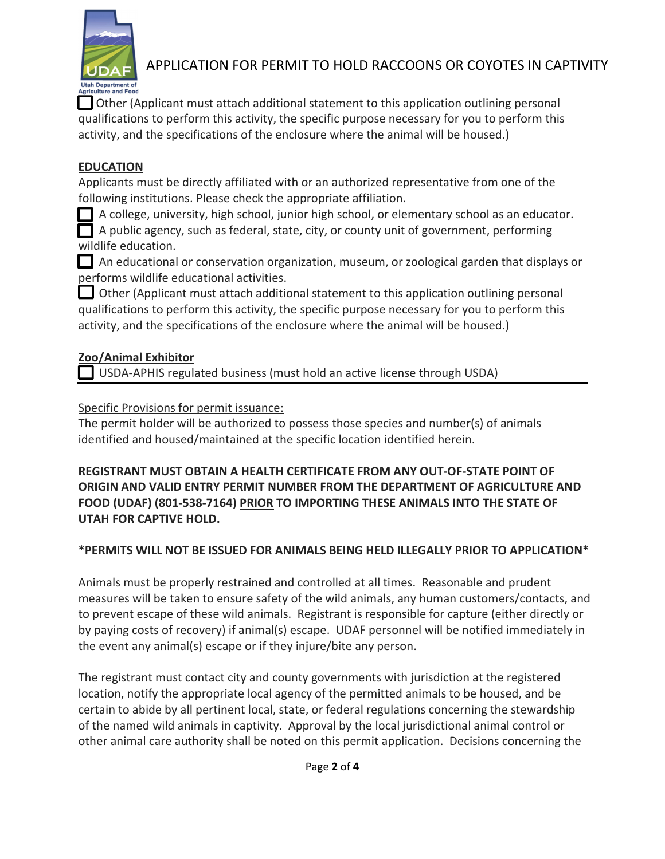

 Other (Applicant must attach additional statement to this application outlining personal qualifications to perform this activity, the specific purpose necessary for you to perform this activity, and the specifications of the enclosure where the animal will be housed.)

### **EDUCATION**

Applicants must be directly affiliated with or an authorized representative from one of the following institutions. Please check the appropriate affiliation.

A college, university, high school, junior high school, or elementary school as an educator.

 A public agency, such as federal, state, city, or county unit of government, performing wildlife education.

 An educational or conservation organization, museum, or zoological garden that displays or performs wildlife educational activities.

 Other (Applicant must attach additional statement to this application outlining personal qualifications to perform this activity, the specific purpose necessary for you to perform this activity, and the specifications of the enclosure where the animal will be housed.)

### Zoo/Animal Exhibitor

USDA-APHIS regulated business (must hold an active license through USDA)

Specific Provisions for permit issuance:

The permit holder will be authorized to possess those species and number(s) of animals identified and housed/maintained at the specific location identified herein.

REGISTRANT MUST OBTAIN A HEALTH CERTIFICATE FROM ANY OUT-OF-STATE POINT OF ORIGIN AND VALID ENTRY PERMIT NUMBER FROM THE DEPARTMENT OF AGRICULTURE AND FOOD (UDAF) (801-538-7164) PRIOR TO IMPORTING THESE ANIMALS INTO THE STATE OF UTAH FOR CAPTIVE HOLD.

### \*PERMITS WILL NOT BE ISSUED FOR ANIMALS BEING HELD ILLEGALLY PRIOR TO APPLICATION\*

Animals must be properly restrained and controlled at all times. Reasonable and prudent measures will be taken to ensure safety of the wild animals, any human customers/contacts, and to prevent escape of these wild animals. Registrant is responsible for capture (either directly or by paying costs of recovery) if animal(s) escape. UDAF personnel will be notified immediately in the event any animal(s) escape or if they injure/bite any person.

The registrant must contact city and county governments with jurisdiction at the registered location, notify the appropriate local agency of the permitted animals to be housed, and be certain to abide by all pertinent local, state, or federal regulations concerning the stewardship of the named wild animals in captivity. Approval by the local jurisdictional animal control or other animal care authority shall be noted on this permit application. Decisions concerning the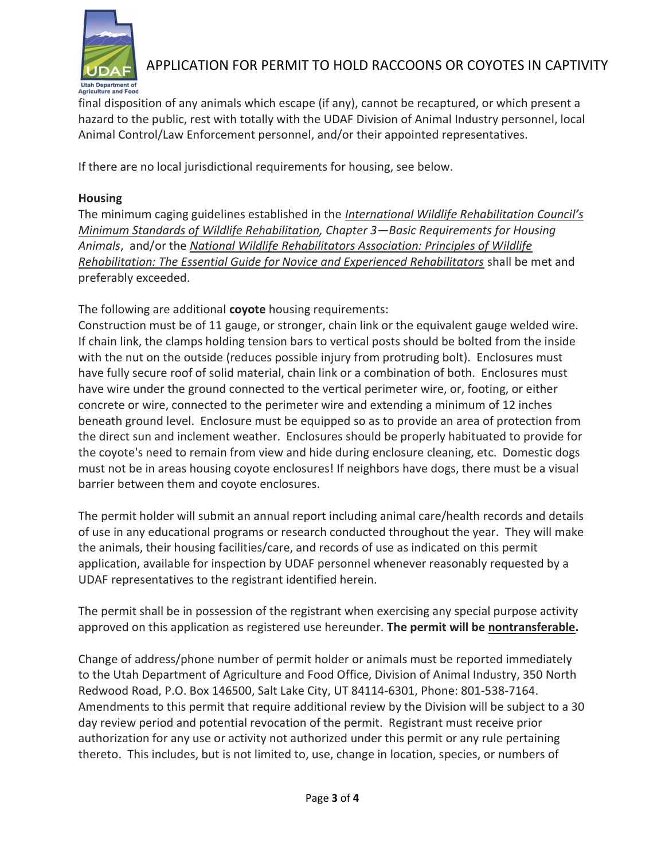

final disposition of any animals which escape (if any), cannot be recaptured, or which present a hazard to the public, rest with totally with the UDAF Division of Animal Industry personnel, local Animal Control/Law Enforcement personnel, and/or their appointed representatives.

If there are no local jurisdictional requirements for housing, see below.

### Housing

The minimum caging guidelines established in the International Wildlife Rehabilitation Council's Minimum Standards of Wildlife Rehabilitation, Chapter 3—Basic Requirements for Housing Animals, and/or the National Wildlife Rehabilitators Association: Principles of Wildlife Rehabilitation: The Essential Guide for Novice and Experienced Rehabilitators shall be met and preferably exceeded.

The following are additional coyote housing requirements:

Construction must be of 11 gauge, or stronger, chain link or the equivalent gauge welded wire. If chain link, the clamps holding tension bars to vertical posts should be bolted from the inside with the nut on the outside (reduces possible injury from protruding bolt). Enclosures must have fully secure roof of solid material, chain link or a combination of both. Enclosures must have wire under the ground connected to the vertical perimeter wire, or, footing, or either concrete or wire, connected to the perimeter wire and extending a minimum of 12 inches beneath ground level. Enclosure must be equipped so as to provide an area of protection from the direct sun and inclement weather. Enclosures should be properly habituated to provide for the coyote's need to remain from view and hide during enclosure cleaning, etc. Domestic dogs must not be in areas housing coyote enclosures! If neighbors have dogs, there must be a visual barrier between them and coyote enclosures.

The permit holder will submit an annual report including animal care/health records and details of use in any educational programs or research conducted throughout the year. They will make the animals, their housing facilities/care, and records of use as indicated on this permit application, available for inspection by UDAF personnel whenever reasonably requested by a UDAF representatives to the registrant identified herein.

The permit shall be in possession of the registrant when exercising any special purpose activity approved on this application as registered use hereunder. The permit will be nontransferable.

Change of address/phone number of permit holder or animals must be reported immediately to the Utah Department of Agriculture and Food Office, Division of Animal Industry, 350 North Redwood Road, P.O. Box 146500, Salt Lake City, UT 84114-6301, Phone: 801-538-7164. Amendments to this permit that require additional review by the Division will be subject to a 30 day review period and potential revocation of the permit. Registrant must receive prior authorization for any use or activity not authorized under this permit or any rule pertaining thereto. This includes, but is not limited to, use, change in location, species, or numbers of